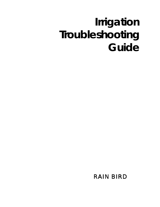# *Irrigation Troubleshooting Guide*

 *RAIN BIRD*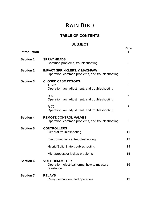### **TABLE OF CONTENTS**

### **SUBJECT**

| <b>Introduction</b> |                                                                                              | Page           |
|---------------------|----------------------------------------------------------------------------------------------|----------------|
| <b>Section 1</b>    | <b>SPRAY HEADS</b><br>Common problems, troubleshooting                                       | $\overline{2}$ |
| <b>Section 2</b>    | <b>IMPACT SPRINKLERS, &amp; MAXI-PAW</b><br>Operation, common problems, and troubleshooting  | 3              |
| <b>Section 3</b>    | <b>CLOSED CASE ROTORS</b><br><b>T-Bird</b><br>Operation, arc adjustment, and troubleshooting | 5              |
|                     | $R-50$<br>Operation, arc adjustment, and troubleshooting                                     | 6              |
|                     | $R-70$<br>Operation, arc adjustment, and troubleshooting                                     | 7              |
| <b>Section 4</b>    | <b>REMOTE CONTROL VALVES</b><br>Operation, common problems, and troubleshooting              | 9              |
| <b>Section 5</b>    | <b>CONTROLLERS</b><br>General troubleshooting                                                | 11             |
|                     | Electromechanical troubleshooting                                                            | 12             |
|                     | Hybrid/Solid State troubleshooting                                                           | 14             |
|                     | Microprocessor lockup problems                                                               | 15             |
| <b>Section 6</b>    | <b>VOLT OHM-METER</b><br>Operation, electrical terms, how to measure<br>resistance           | 16             |
| <b>Section 7</b>    | <b>RELAYS</b><br>Relay description, and operation                                            | 19             |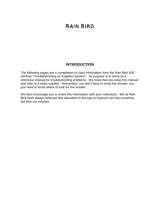### **INTRODUCTION**

The following pages are a compilation of class information from the Rain Bird ASC seminar "Troubleshooting an Irrigation System." Its purpose is to serve as a reference manual for troubleshooting problems. We hope that you keep this manual and refer to it when needed. Remember, you don't have to know the answer, you just need to know where to look for the answer.

We also encourage you to share this information with your coworkers. We at Rain Bird have always believed that education is the way to improve not only ourselves, but also our industry.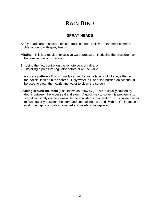### **SPRAY HEADS**

Spray heads are relatively simple to troubleshoot. Below are the most common problems found with spray heads.

- **Misting** This is a result of excessive water pressure. Reducing the pressure may be done in one of two ways.
- 1. Using the flow control on the remote control valve, or
- 2. Installing a pressure regulator before or on the valve
- **Inaccurate pattern** This is usually caused by some type of blockage, either in the nozzle itself or in the screen. Only water, air, or a soft bristled object should be used to clean the nozzle and water to clean the screen.
- **Leaking around the stem** (also known as "blow by") This is usually caused by debris between the wiper seal and stem. A quick way to solve this problem is to step down lightly on the stem while the sprinkler is in operation. This causes water to flush quickly between the stem and cap, taking the debris with it. If this doesn't work, the cap is probably damaged and needs to be replaced.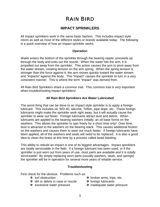### **IMPACT SPRINKLERS**

All impact sprinklers work in the same basic fashion. This includes impact style rotors as well as most of the different styles or brands available today. The following is a quick overview of how an impact sprinkler works.

#### **Operation**

Water enters the bottom of the sprinkler through the bearing nipple, proceeds up through the body and exits out the nozzle. When the water hits the arm, it is propelled out away from the sprinkler. This action causes the arm to pivot away from the water stream, creating tension on the arm spring. When the spring tension is stronger than the force against it, the arm moves quickly toward the water stream and "impacts" against the body. This "impact" causes the sprinkler to turn in a very consistent manner. This is where the term "impact" was derived from.

All Rain Bird Sprinklers share a common trait. This common trait is *very important* when troubleshooting impact sprinklers!

#### **All Rain Bird Sprinklers Are Water Lubricated**

The worst thing that can be done to an impact style sprinkler is to apply a foreign lubricant. This includes oil, WD-40, silicone, Teflon, pipe dope, etc. These foreign lubricants might make the sprinkler work right away, but it will actually cause the sprinkler to wear out faster. Foreign lubricants attract dust and debris. When lubricants are applied to the bearing washers initially, an oil base forms on the washers. This allows the sprinkler to spin freely for a short time only! Over time, dust is attracted to the washers on the bearing stack. This causes additional friction on the washers and causes them to wear out much faster. If foreign lubricants have been applied, all of the washers and seals will need to be replaced. It is also a good idea to clean the brass at this time by a process called bead blasting.

This ability to rebuild an impact is one of its biggest advantages. Impact sprinklers are totally serviceable in the field. If a foreign lubricant has been used, or if the sprinkler is just worn out from years of use, *most parts are available and it is totally serviceable!* By simply replacing worn parts (usually washers, seals, and springs) the sprinkler will be in operation for several more years of reliable service.

#### **Troubleshooting**

First check for the obvious. Problems such as:

- 
- ✻ dirt or debris in case or nozzle ✻ foreign lubricants
- ✻ turf obstruction ✻ broken arms, trips, etc.
	-
- 
- ✻ excessive water pressure ✻ inadequate water pressure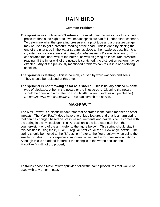#### **Common Problems**

- **The sprinkler is stuck or won't return** The most common reason for this is water pressure that is too high or to low. Impact sprinklers can fail under either scenario. To determine what the operating pressure is, a pitot tube and a pressure gauge may be used to get a pressure reading at the head. This is done by placing the end of the pitot tube in the water stream, as close to the nozzle as possible. *It is important to not place the end of the pitot tube inside of the nozzle opening.* This can scratch the inner wall of the nozzle, as well as giving an inaccurate pressure reading. If the inner wall of the nozzle is scratched, the distribution pattern may be effected. Any of the previously mentioned problems can result in a non-rotating sprinkler.
- **The sprinkler is leaking** This is normally caused by worn washers and seals. They should be replaced at this time.
- **The sprinkler is not throwing as far as it should** This is usually caused by some type of blockage, either in the nozzle or the inlet screen. Cleaning the nozzle should be done with air, water or a soft bristled object (such as a pipe cleaner). *Do not use wire or a screwdriver!* This can scratch the nozzle.

### **MAXI-PAW™**

The Maxi-Paw<sup>™</sup> is a plastic impact rotor that operates in the same manner as other impacts. The Maxi-Paw™ does have one unique feature, and that is an arm spring that can be changed based on pressure requirements and nozzle size. It comes with the spring in the "A" position. The "A" position is the farthest notch from the counterweight end of the arm (refer to the figure below). This spring should stay in this position if using the 8, 10 or 12 regular nozzles, or the 10 low angle nozzle. The spring should be moved to the "B" position (refer to the figure below) when using the smaller nozzles. This is especially important when used in low pressure situations. Although this is an added feature, if the spring is in the wrong position the Maxi-Paw™ will not trip properly.

To troubleshoot a Maxi-Paw™ sprinkler, follow the same procedures that would be used with any other impact.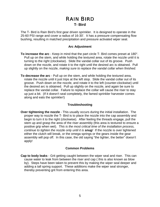### *RAIN BIRD* **T- Bird**

The T- Bird is Rain Bird's first gear driven sprinkler. It is designed to operate in the 25-60 PSI range and cover a radius of 16-30'. It has a pressure compensating flow bushing, resulting in matched precipitation and pressure activated wiper seal.

#### **Arc Adjustment**

- **To increase the arc** Keep in mind that the part circle T- Bird comes preset at 180°. Pull up on the stem, and while holding the textured area, rotate the nozzle until it is turning to the right (clockwise). Slide the vandal collar out of its groove. Push down on the nozzle, and rotate it to the right until the desired arc is obtained. Pull up slightly on the nozzle, *making sure to replace the vandal collar when finished.*
- **To decrease the arc** Pull up on the stem, and while holding the textured area, rotate the nozzle until it just trips at the left stop. Slide the vandal collar out of its groove. Push down on the nozzle, and rotate it to the left (counter-clockwise) until the desired arc is obtained. Pull up slightly on the nozzle, and again be sure to replace the vandal collar. Failure to replace the collar will cause the riser to stay up just a bit. (If it doesn't seal completely, the famed sprinkler harvester comes along and eats the sprinkler!)

#### **Troubleshooting**

**Over tightening the nozzle** - This usually occurs during the initial installation. The proper way to nozzle the T- Bird is to place the nozzle into the cap assembly and begin to turn it to the right (clockwise). After feeling the threads engage, pull the stem up and grasp the area of the riser assembly (this area is textured to ensure a positive grip when wet). *This is the most critical time of the installation process, continue to tighten the nozzle only until it is snug!* If the nozzle is over tightened either the clutch will break, or the omega springs or the gears inside the gear assembly will pop off. In this case, the old saying "the tighter, the better" doesn't apply!

#### **Common Problems**

**Cap to body leaks** - Grit getting caught between the wiper seal and riser. This can cause water to leak from between the riser and cap ( this is also known as blow by). Steps have been taken to prevent this by making the wiper seal deeper and adding a tall spring support. These additions make the wiper seal stronger, thereby preventing grit from entering this area.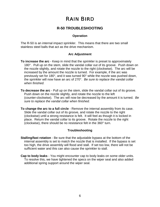### **R-50 TROUBLESHOOTING**

#### **Operation**

The R-50 is an internal impact sprinkler. This means that there are two small stainless steel balls that act as the drive mechanism.

#### **Arc Adjustment**

- **To increase the arc** Keep in mind that the sprinkler is preset to approximately 180°. Pull up on the stem, slide the vandal collar out of its groove. Push down on the nozzle slightly, and rotate the nozzle to the right (clockwise). The arc will be increased by the amount the nozzle is turned. For example, if the arc was previously set for 180°, and it was turned 90° while the nozzle was pushed down, the sprinkler will now have an arc of 270°. *Be sure to replace the vandal collar when finished.*
- **To decrease the arc** Pull up on the stem, slide the vandal collar out of its groove. Push down on the nozzle slightly, and rotate the nozzle to the left (counter-clockwise). The arc will now be decreased by the amount it is turned. *Be sure to replace the vandal collar when finished.*
- **To change the arc to a full circle** Remove the internal assembly from its case. Slide the vandal collar out of its groove, and rotate the nozzle to the right (clockwise) until a strong resistance is felt. It will feel as though it is locked in place. Return the vandal collar to its groove. Rotate the nozzle to the right (clockwise), there should be no resistance felt in the 360° turn.

#### **Troubleshooting**

- **Stalling/fast rotation** Be sure that the adjustable bypass at the bottom of the internal assembly is set to match the nozzle that is installed. If the bypass is set too high, the drive assembly will flood and stall. If set too low, there will not be sufficient water and this can also cause the sprinkler to stall.
- **Cap to body leaks** You might encounter cap to body leaks on some older units. To resolve this, we have tightened the specs on the wiper seal and also added additional spring support around the wiper seal.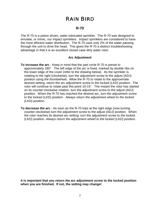#### **R-70**

The R-70 is a piston driven, water lubricated sprinkler. The R-70 was designed to emulate, or mimic, our impact sprinklers. Impact sprinklers are considered to have the most efficient water distribution. The R-70 uses only 2% of the water passing through the unit to drive the head. This gives the R-70 a distinct troubleshooting advantage in that it is an excellent closed case dirty water rotor.

#### **Arc Adjustment**

- **To increase the arc** Keep in mind that the part circle R-70 is preset to approximately 180°. The left edge of the arc is fixed, marked by double ribs on the lower edge of the cover (refer to the drawing below). As the sprinkler is rotating to the right (clockwise), turn the adjustment screw to the adjust (ADJ) position using the thumbwheel. Allow the R-70 to rotate to the approximate desired setting, return the arc adjustment screw to the locked (LKD) position. The rotor will continue to rotate past this point 10-15°. The instant the rotor has started on its counter-clockwise rotation, turn the adjustment screw to the adjust (ADJ) position. When the R-70 has reached the desired arc, turn the adjustment screw to the locked (LKD) position. *Always return the adjustment wheel to the locked (LKD) position.*
- **To decrease the arc** As soon as the R-70 trips at the right edge (now turning counter-clockwise) turn the adjustment screw to the adjust (ADJ) position. When the rotor reaches its desired arc setting, turn the adjustment screw to the locked (LKD) position. *Always return the adjustment wheel to the locked (LKD) position.*

**It is important that you return the arc adjustment screw to the locked position when you are finished. If not, the setting may change!**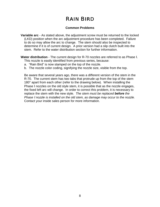#### **Common Problems**

- **Variable arc** As stated above, the adjustment screw must be returned to the locked (LKD) position when the arc adjustment procedure has been completed. Failure to do so may allow the arc to change. The stem should also be inspected to determine if it is of current design. A prior version had a slip clutch built into the stem. Refer to the water distribution section for further information.
- **Water distribution** The current design for R-70 nozzles are referred to as Phase Ι. This nozzle is easily identified from previous series, because:
	- a. "Rain Bird" is now stamped on the top of the nozzle.
	- b. The nozzle color coding, signifying the nozzle size, visible from the top.

Be aware that several years ago, there was a different version of the stem in the R-70. The current stem has two tabs that protrude up from the top of the stem 180° apart from each other (refer to the drawing below). When installing the Phase I nozzles on the old style stem, it is possible that as the nozzle engages, the fixed left arc will change. In order to correct this problem, it is necessary to replace the stem with the new style. *The stem must be replaced before the Phase* <sup>Ι</sup> *nozzle is installed on the old stem, as damage may occur to the nozzle.* Contact your inside sales person for more information.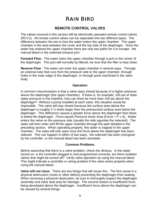### **REMOTE CONTROL VALVES**

The valves covered in this section will be electrically operated remote control valves (RCV's). All remote control valves can be separated into two different types. The difference between the two is how the water enters the upper chamber. The upper chamber is the area between the cover and the top side of the diaphragm. Once the water has entered the upper chamber there are only two paths for it to escape: the manual bleed or the solenoid exhaust port.

**Forward Flow** - The water inters the upper chamber through a port in the center of the diaphragm. This port will normally by filtered, be sure that the filter is kept clean.

**Reverse Flow** - The water can enter the upper chamber in several ways. Through an external tube that runs from the pressure side to the upper chamber, through holes in the outer edge of the diaphragm, or through ports machined in the valve body.

#### **Operation**

A common misconception is that a valve stays closed because of a higher pressure above the diaphragm (the upper chamber). If there is, for example, 100 psi of static water pressure in the mainline, how can there be more than 100 psi above the diaphragm? Without a pump installed at each valve, this situation would be impossible. The valve will stay closed because the surface area above the diaphragm is roughly 2 ½ times larger than the pressurized surface area below the diaphragm. This difference causes a greater *force* above the diaphragm than there is below the diaphragm. *Force equals Pressure times Area* (Force = P x A). Water enters the valve on the pressure side (usually the side opposite the solenoid). The water will then enter and fill the upper chamber through the path detailed in the preceding section. When operating properly, this water is trapped in the upper chamber. The valve will only open once the force above the diaphragm has been relieved. This can happen in either of two ways, the solenoid has been energized by the controller, or the manual bleed has been activated.

#### **Common Problems**

Before assuming that there is a valve problem, check the obvious. Is the water turned on, is the controller plugged in and programmed correctly, are there isolation valves that might be turned off? Verify valve operation by using the manual bleed. This might indicate a controller or wiring problem if the valve works properly when using the manual bleed.

**Valve will not close** - There are two things that will cause this. The first cause is a physical obstruction (rocks or other debris) preventing the diaphragm from seating. When removing a physical obstruction, be sure to thoroughly inspect the diaphragm assembly and valve seat area for damage. The second reason is insufficient force being developed above the diaphragm. Insufficient force above the diaphragm can be caused by several things.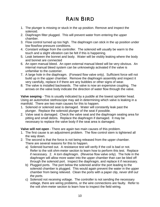- 1. The plunger is missing or stuck in the up position. Remove and inspect the solenoid.
- 2. Diaphragm filter plugged. This will prevent water from entering the upper chamber.
- 3. Flow control turned up too high. The diaphragm can stick in the up position under low flow/low pressure conditions.
- 4. Constant voltage from the controller. The solenoid will usually be warm to the touch and a slight vibration can be felt if this is happening.
- 5. Leak between the bonnet and body. Water will be visibly leaking where the body and bonnet are connected
- 6. An open manual bleed. An open external manual bleed will be very obvious. An internal manual bleed system can be unknowingly activated if the valve is unfamiliar to the customer.
- 7. A large hole in the diaphragm. (Forward flow valve only). Sufficient force will not build up in the upper chamber. Remove the diaphragm assembly and inspect it very carefully, replace it if there are any bubbles or other signs of wear.
- 8. The valve is installed backwards. The valve is now an expensive coupling. The arrows on the valve body indicate the direction of water flow through the valve.

**Valve seeping** - This is usually indicated by a puddle at the lowest sprinkler head. Using an automotive stethoscope may aid in determining which valve is leaking in a manifold. There are two main causes for this to happen.

- 1. Solenoid or solenoid seat is damaged. Water will constantly leak past the plunger. Replace the solenoid plunger of the seat if possible.
- 2. Valve seat is damaged. Check the valve seat and the diaphragm seating area for pitting and small debris. Replace the diaphragm if damaged. It may be necessary to replace the valve body if the seat area is damaged.

**Valve will not open** - There are again two main causes of this problem.

- 1. The first cause is an adjustment problem. The flow control stem is tightened all the way down.
- 2. The second is that the force is not being released from the upper chamber. There are several reasons for this to happen.
	- a) Solenoid burned out. A resistance test will verify if the coil is bad or not. Refer to the volt ohm-meter section to learn how to perform this test. Replace if necessary. 2. A torn diaphragm. (Reverse flow valve only). The hole in the diaphragm will allow more water into the upper chamber than can be bled off through the solenoid port. Inspect the diaphragm, and replace it if necessary.
	- b) Plugged ports. The port below the solenoid and/or the port leading to the solenoid chamber is plugged. This would again prevent the water in the upper chamber from being relieved. Clean the ports with a paper clip, *never drill out the ports.*
	- c) Solenoid not receiving voltage. The controller is not sending the necessary voltage, there are wiring problems, or the wire connections are faulty. Refer to the volt ohm-meter section to learn how to inspect the field wiring.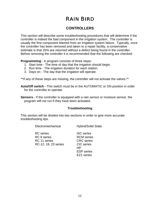### **CONTROLLERS**

This section will describe some troubleshooting procedures that will determine if the controller is indeed the bad component in the irrigation system. The controller is usually the first component blamed from an irrigation system failure. Typically, once the controller has been removed and taken to a repair facility, a conservative estimate is that 25% are returned without a defect being found in the controller. Before removing the controller it is recommended that the following are checked:

**Programming** - A program consists of three steps:

- 1. Start time The time of day that the irrigation should begin.
- 2. Run time The irrigation duration for each station.
- 3. Days on The day that the irrigation will operate.

\*\*If any of these steps are missing, the controller will not activate the valves.\*\*

**Auto/Off switch** - This switch must be in the AUTOMATIC or ON position in order for the controller to operate.

**Sensors** - If the controller is equipped with a rain sensor or moisture sensor, the program will not run if they have been activated.

#### **Troubleshooting**

This section will be divided into two sections in order to give more accurate troubleshooting tips.

Electromechanical Hybrid/Solid State

| <b>RC</b> series<br><b>RC</b> 8 series<br>RC 11 series<br>RC-12, 18, 23 series | <b>ISC</b> series<br><b>RCM</b> series<br><b>CRC</b> series<br><b>CIC</b> series<br>НP<br><b>ESP</b> series<br>EZ1 series |
|--------------------------------------------------------------------------------|---------------------------------------------------------------------------------------------------------------------------|
|                                                                                |                                                                                                                           |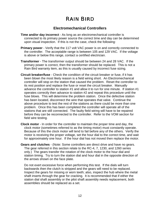### **Electromechanical Controllers**

- **Time and/or day incorrect** As long as an electromechanical controller is connected to its primary power source the correct time and day can be determined upon visual inspection. If this is not the case, check the following:
- **Primary power** Verify that the 117 volt VAC power is on and correctly connected to the controller. The acceptable range is between 105 and 129 VAC. If the voltage is above or below this range, contact a certified electrician.
- **Transformer** The transformer output should be between 24 and 28 VAC. If the primary power is correct, then the transformer should be replaced. This is not a Rain Bird warranty item, as this is usually caused by incorrect fuse sizing.
- **Circuit breaker/fuse** Check the condition of the circuit breaker or fuse, if it has been blown the most likely reason is a field wiring short. An Electromechanical controller will stop on the station that caused the problem. Reset the controller to its rest position and replace the fuse or reset the circuit breaker. Manually advance the controller to station #1 and allow it to run for one minute. If station #1 operates correctly then advance to station #2 and repeat this procedure until the fuse blows. This will determine the problem station. Once the defective station has been located, disconnect the wire that operates that valve. Continue the above procedure to test the rest of the stations as there could be more than one problem. Once this has been completed the controller will operate all of the stations that are still connected. The faulty field wiring will have to be repaired before they can be reconnected to the controller. Refer to the VOM section for field wire testing.
- **Clock motor** In order for the controller to maintain the proper time and day, the clock motor (sometimes referred to as the timing motor) must constantly operate. Because of this the clock motor will tend to fail before any of the others. Verify the motor is receiving the proper voltage, set the hour dial to the correct time, and wait for approximately one hour. If the hour dial has not moved then replace the motor.
- **Gears and clutches** (Note: Some controllers are direct drive and have no gears. The gear referred in this section relate to the RC-4, 7, 1230, and 1260 series only.) The gears transfer the rotation of the clock motor to the hour dial and station timing. Try to turn the station dial and hour dial in the opposite direction of the arrows shown on the face plate.

Do not exert excessive force when performing this test. If the dials will turn backwards then the clutch is stripped and the gears will need to be replaced. Inspect the gears for missing or worn teeth; also, inspect the hub where the metal shaft inserts through the gear for cracking. It is recommended that if either the station dial shaft assembly or the pilot shaft assembly needs replacement, both assemblies should be replaced as a set.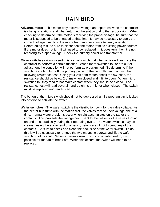- **Advance motor** This motor only received voltage and operates when the controller is changing stations and when returning the station dial to the rest position. When checking to determine if the motor is receiving the proper voltage, be sure that the motor is supposed to be engaged at that time. It may be necessary to apply the correct voltage directly to the motor from another source to verify operation. Before doing this, be sure to disconnect the motor from its existing power source! If the motor does not turn it will need to be replaced. If it does turn, then it is not receiving its proper voltage. Check the primary power and transformer.
- **Micro switches** A micro switch is a small switch that when activated, instructs the controller to perform a certain function. When there switches fail or are out of adjustment the controller will not perform as programmed. To determine if the switch has failed, turn off the primary power to the controller and conduct the following resistance test. Using your volt ohm-meter, check the switches, the resistance should be below 2 ohms when closed and infinite open. When micro switches fail they tend to not make contact when they should be closed. The resistance test will read several hundred ohms or higher when closed. The switch must be replaced and readjusted.

The button of the micro switch should not be depressed until a program pin is locked into position to activate the switch.

**Wafer switches** - The wafer switch is the distribution point for the valve voltage. As the center hub turns with the station dial, the valves receive their voltage one at a time. normal wafer problems occur when dirt accumulates on the tab or the contacts. This prevents the voltage being sent to the valves, or the valves turning on and off sporadically during their operating cycle. The wafer switches may be cleaned using the eraser end of a pencil, being careful not to bend any of the contacts. Be sure to check and clean the back side of the wafer switch. To do this it will be necessary to remove the two mounting screws and lift the wafer switch off of its shaft. When excessive wear occurs on a wafer switch, it is possible for the tab to break off. When this occurs, the switch will need to be replaced.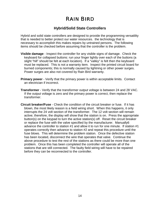### **Hybrid/Solid State Controllers**

Hybrid and solid state controllers are designed to provide the programming versatility that is needed to better protect our water resources. the technology that is necessary to accomplish this makes repairs by untrained persons. The following items should be checked before assuming that the controller is the problem.

- **Visible damage** Inspect the controller for any visible signs of damage. Check the keyboard for collapsed buttons: run your finger lightly over each of the buttons (a slight "hill" should be felt at each location). If a "valley" is felt then the keyboard must be replaced. This is not a warranty item. Inspect the printed circuit board for burned components; this is normally caused by lightning or other power surges. Power surges are also not covered by Rain Bird warranty.
- **Primary power** Verify that the primary power is within acceptable limits. Contact an electrician if incorrect.
- **Transformer** Verify that the transformer output voltage is between 24 and 28 VAC. If the output voltage is zero and the primary power is correct, then replace the transformer.
- **Circuit breaker/Fuse** Check the condition of the circuit breaker or fuse. If it has blown, the most likely reason is a field wiring short. When this happens, it only interrupts the 24 volt section of the transformer. The 12 volt section will remain active; therefore, the display will show that the station is on. Press the appropriate button(s) on the keypad to turn the active station(s) off. Reset the circuit breaker or replace the fuse with the valve specified by the manufacturer. Manually6 advance the controller to station #1 and allow it to run for one minute. If station #1 operates correctly then advance to station #2 and repeat this procedure until the fuse blows. This will determine the problem station. Once the defective station has been located, disconnect the wire that operates that valve. Continue the above procedure to test the rest of the stations as there could be more than one problem. Once this has been completed the controller will operate all of the stations that are still connected. The faulty field wiring will have to be repaired before they can be reconnected to the controller.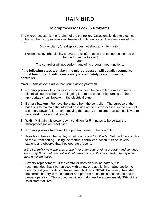### **Microprocessor Lockup Problems**

The microprocessor is the "brains" of the controller. Occasionally, due to electrical problems, the microprocessor will freeze all of its functions. The symptoms of this are:

Display blank, (the display does not show any information)

or

Frozen display, (the display shows erratic information that cannot be cleared or changed from the keypad)

and

The controller will not perform any of its programmed functions.

**If the following steps are taken, the microprocessor will usually resume its normal functions. It will be necessary to completely power down the controller.**

*\*\*Note: This process will delete your existing program!*

- **1. Primary power** It is necessary to disconnect the controller from its primary electrical source either by unplugging it from the outlet or by turning off the appropriate circuit breaker in the electrical panel
- **2. Battery backup** Remove the battery from the controller. The purpose of the battery is to maintain the information inside of the microprocessor in the event of a primary power failure. By removing the battery the microprocessor is allowed to reset itself to its normal condition.
- **3. Wait** Maintain this power down condition for 5 minutes to be certain the microprocessor will reset itself.
- **4. Primary power** Reconnect the primary power to the controller.
- **5. Function check** The display should now show 12:00 A.M. Set the time and day to the current setting. Using the manual controller function, turn on several stations and observe that they operate properly.

*If the controller now operates properly re-enter your original program and continue on to step 6. If controller still will not perform correctly it will need to be repaired by a qualified facility.*

**6. Battery replacement** - If the controller uses an alkaline battery, it is recommended that it be replaced with a new one at this time. (See section to determine if your model controller uses alkaline or NICAD batteries.) Reinstall the correct battery in the controller and perform a final resistance test to ensure proper operation. This procedure will normally resolve approximately 30% of the solid state "failures".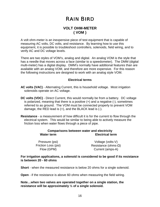### **VOLT OHM-METER ( VOM )**

A volt ohm-meter is an inexpensive piece of test equipment that is capable of measuring AC volts, DC volts, and resistance. By learning how to use this equipment, it is possible to troubleshoot controllers, solenoids, field wiring, and to verify AC and DC voltage levels.

There are two styles of VOM's, analog and digital. An analog VOM is the style that has a needle that moves across a face (similar to a speedometer). The DMM (digital multi-meter) has a digital display. DMM's normally have additional features than are available with an analog VOM, and therefore are more expensive. For this reason the following instructions are designed to work with an analog style VOM.

#### **Electrical terms**

- **AC volts (VAC)** Alternating Current, this is household voltage. Most irrigation solenoids operate on AC voltage.
- **DC volts (VDC)** Direct Current, this would normally be from a battery. DC voltage is polarized, meaning that there is a positive  $(+)$  and a negative  $(-)$ , sometimes referred to as ground. The VOM must be connected properly to prevent VOM damage, the RED lead is  $(+)$ , and the BLACK lead is  $(-)$ .
- **Resistance** a measurement of how difficult it is for the current to flow through the electrical system. This would be similar to being able to actively measure the friction loss when water flows through a piece of pipe.

#### **Comparisons between water and electricity Water term Electrical term**

Pressure (psi) Voltage (volts-V) Friction Loss (psi) Resistance (ohms- $\Omega$ )

Flow (GPM) Current (amps-A)

#### **For irrigation applications, a solenoid is considered to be good if its resistance is between 20 - 60 ohms**

**Short** - when the measured resistance is below 20 ohms for a single solenoid.

**Open** - if the resistance is above 60 ohms when measuring the field wiring.

**Note…when two valves are operated together on a single station, the resistance will be approximately ½ of a single solenoid.**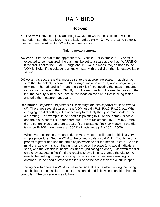### **Hook-up**

Your VOM will have one jack labeled (-) COM, into which the Black lead will be inserted. Insert the Red lead into the jack marked  $(+)$  V -  $\Omega$  - A. this same setup is used to measure AC volts, DC volts, and resistance.

#### **Taking measurements**

- **AC volts** Set the dial to the appropriate VAC scale. For example, if 117 volts is expected to be measured, the dial must be set to a scale above that. WARNING if the dial is set to the 50 ACV range and 117 volts is measured, damage to the VOM is likely. If the voltage is unknown, start with the dial on the highest available setting.
- **DC volts** As above, the dial must be set to the appropriate scale. in addition be sure that the polarity is correct. DC voltage has a positive  $(+)$  and a negative  $(-)$ terminal. The red lead is (+), and the black is (-), connecting the leads in reverse can cause damage to the VOM. If, from the rest position, the needle moves to the left, the polarity is incorrect; reverse the leads on the circuit that is being tested and take the measurement again.
- **Resistance** *Important, to prevent VOM damage the circuit power must be turned off.* There are several scales on the VOM, usually Rx1, Rx10, Rx100, etc. When changing the dial settings, it is necessary to multiply the uppermost scale by the dial setting. For example, if the needle is pointing to 15 on the ohms  $(Ω)$  scale, and the dial is set at Rx1, then there are 15  $\Omega$  of resistance (15 x 1 = 15). If the dial is set on Rx10 then there are 150  $\Omega$  of resistance (15 x 10 = 150). If the dial is set on Rx100, then there are 1500  $\Omega$  of resistance (15 z 100 = 1500).

Whenever resistance is measured, the VOM must be calibrated. This is a very simple procedure. Set the VOM to the correct scale (usual Rx1). Touch the two probes together and use the ohms adjust wheel to set the needle to zero. Keep in mind that zero ohms is on the right hand side of the scale (this would indicate a short) and the left side is infinite resistance (indicating an open). Start with the dial on the lowest setting (Rx1). If the reading shows infinite, change the dial to the next higher setting. Keep increasing the setting until an accurate reading is obtained. If the needle stays to the left side of the scale then the circuit is open.

Knowing how to operate a VOM will save considerable time when testing the wiring on a job site. It is possible to inspect the solenoid and field wiring condition from the controller. The procedure is as follows: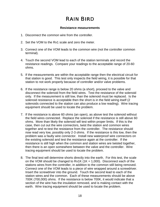#### **Resistance measurements**

- 1. Disconnect the common wire from the controller.
- 2. Set the VOM to the Rx1 scale and zero the meter.
- 3. Connect one of the VOM leads to the common wire (not the controller common terminal).
- 4. Touch the second VOM lead to each of the station terminals and record the resistance readings. Compare your readings to the acceptable range of 20-60 ohms.
- 5. If the measurements are within the acceptable range then the electrical circuit for that station is good. This test only inspects the field wiring, it is possible for that station to not work properly because of controller and/or valve problems.
- 6. If the resistance range is below 20 ohms (a short), proceed to the valve and disconnect the solenoid from the field wires. Test the resistance of the solenoid only. If the measurement is still low, than the solenoid must be replaced. Is the solenoid resistance is acceptable then the short is in the field wiring itself (2 solenoids connected to the station can also produce a low reading). Wire tracing equipment should be used to locate the problem.
- 7. If the resistance is above 60 ohms (an open), as above test the solenoid without the field wires connected. Replace the solenoid if the resistance is still above 60 ohms. More than likely the solenoid will test within proper limits. If this is the case, then cut out the wire connectors, twist the station and common wires together and re-test the resistance from the controller. The resistance should now read very low, possibly only 2-3 ohms. If the resistance is this low, then the problem was a faulty wire connector. Install new waterproof wire connectors on the existing solenoid and test the resistance again at the controller. If the resistance is still high when the common and station wires are twisted together, then there is an open somewhere between the valve and the controller. Wire tracing equipment should be used to locate the problem.
- 8. The final test will determine shorts directly into the earth. For this test, the scale on the VOM should be changed to  $Rx1K$  ( $1K = 1,000$ ). Disconnect each of the stations wires from the controller, in addition to the common still being removed. Connect one of the VOM leads to a piece of wire wrapped around a screwdriver. Insert the screwdriver into the ground. Touch the second lead to each of the station wires and the common. Each of these measurements should be above 700K (700,000) ohms. If the resistance is below 700K, it would indicate that a section of the wire has the insulation removed, and is making contact with the earth. Wire tracing equipment should be used to locate the problem.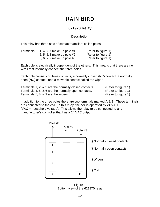### **621970 Relay**

#### **Description**

This relay has three sets of contact "families" called poles.

| <b>Terminals</b> | 1, 4, & 7 make up pole #1 | (Refer to figure 1) |
|------------------|---------------------------|---------------------|
|                  | 2, 5, & 8 make up pole #2 | (Refer to figure 1) |
|                  | 3, 6, & 9 make up pole #3 | (Refer to figure 1) |

Each pole is electrically independent of the others. This means that there are no wires that internally connect the three poles.

Each pole consists of three contacts, a normally closed (NC) contact, a normally open (NO) contact, and a movable contact called the wiper.

| Terminals 1, 2, & 3 are the normally closed contacts. | (Refer to figure 1) |
|-------------------------------------------------------|---------------------|
| Terminals 4, 5, & 6 are the normally open contacts.   | (Refer to figure 1) |
| Terminals 7, 8, & 9 are the wipers                    | (Refer to figure 1) |

In addition to the three poles there are two terminals marked A & B. These terminals are connected to the coil. In this relay, the coil is operated by 24 VAC (VAC = household voltage). This allows the relay to be connected to any manufacturer's controller that has a 24 VAC output.

| Pole #1 | Pole #2             | Pole #3 |                                                                      |
|---------|---------------------|---------|----------------------------------------------------------------------|
| 1<br>4  | $\overline{2}$<br>5 | 3<br>6  | <b>B</b> Normally closed contacts<br><b>H</b> Normally open contacts |
| 7       | 8                   | 9       | <b>H</b> Wipers                                                      |
| А       |                     | B       | <b>B</b> Coil                                                        |

Figure 1 Bottom view of the 621970 relay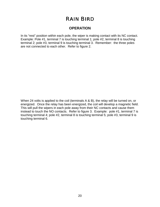### **OPERATION**

In its "rest" position within each pole, the wiper is making contact with its NC contact. Example: Pole #1, terminal 7 is touching terminal 1; pole #2, terminal 8 is touching terminal 2; pole #3, terminal 9 is touching terminal 3. Remember: the three poles are not connected to each other. Refer to figure 2.

When 24 volts is applied to the coil (terminals A & B), the relay will be turned on, or energized. Once the relay has been energized, the coil will develop a magnetic field. This will pull the wipers in each pole away from their NC contacts and cause them instead to touch the NO contacts. Refer to figure 3. Example: pole #1, terminal 7 is touching terminal 4; pole #2, terminal 8 is touching terminal 5; pole #3, terminal 9 is touching terminal 6.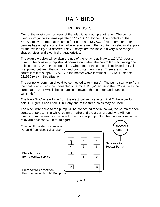### **RELAY USES**

One of the most common uses of the relay is as a pump start relay. The pumps used for irrigation systems operate on 117 VAC or higher. The contacts of the 621970 relay are rated at 10 amps (per pole) at 240 VAC. If your pump or other devices has a higher current or voltage requirement, then contact an electrical supply for the availability of a different relay. Relays are available in a very wide range of shapes, sizes and electrical characteristics.

The example below will explain the use of the relay to activate a 117 VAC booster pump. The booster pump should operate only when the controller is activating one of its stations. With most controllers, when one of the stations is activated, 24 volts is supplied between the common and pump start terminals. There are some controllers that supply 117 VAC to the master valve terminals. DO NOT use the 621970 relay in this situation.

The controller common should be connected to terminal A. The pump start wire from the controller will now be connected to terminal B. (When using the 621970 relay, be sure that only 24 VAC is being supplied between the common and pump start terminals.)

The black "hot" wire will run from the electrical service to terminal 7, the wiper for pole 1. Figure 4 uses pole 1, but any one of the three poles may be used.

The black wire going to the pump will be connected to terminal #4, the normally open contact of pole 1. The white "common" wire and the green ground wire will run directly from the electrical service to the booster pump. No other connections to the relay are necessary. Refer to figure 4.



Figure 4